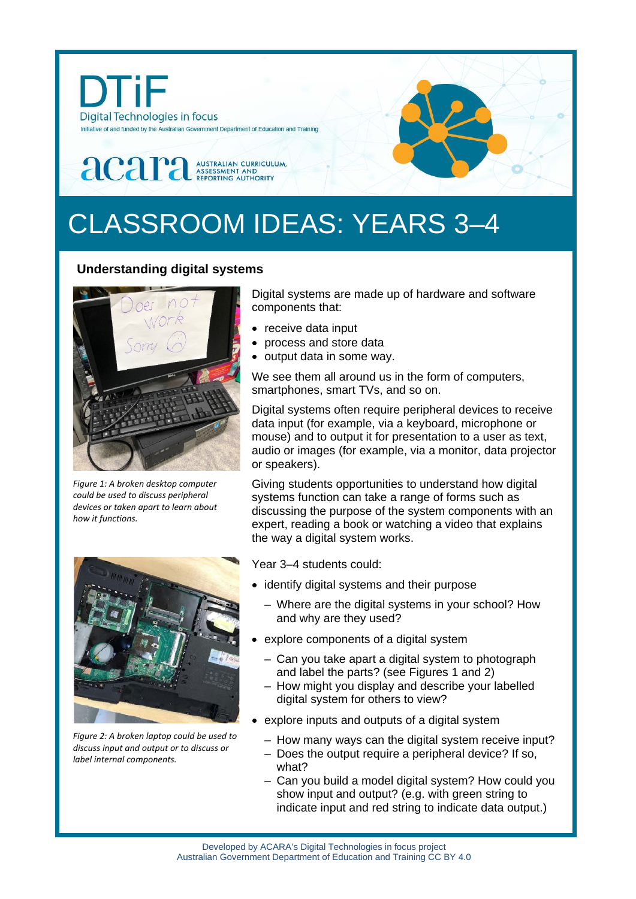

# CLASSROOM IDEAS: YEARS 3–4

## **Understanding digital systems**



*Figure 1: A broken desktop computer could be used to discuss peripheral devices or taken apart to learn about how it functions.*



*Figure 2: A broken laptop could be used to discuss input and output or to discuss or label internal components.*

Digital systems are made up of hardware and software components that:

- receive data input
- process and store data
- output data in some way.

We see them all around us in the form of computers, smartphones, smart TVs, and so on.

Digital systems often require peripheral devices to receive data input (for example, via a keyboard, microphone or mouse) and to output it for presentation to a user as text, audio or images (for example, via a monitor, data projector or speakers).

Giving students opportunities to understand how digital systems function can take a range of forms such as discussing the purpose of the system components with an expert, reading a book or watching a video that explains the way a digital system works.

Year 3–4 students could:

- identify digital systems and their purpose
	- Where are the digital systems in your school? How and why are they used?
- explore components of a digital system
	- Can you take apart a digital system to photograph and label the parts? (see Figures 1 and 2)
	- How might you display and describe your labelled digital system for others to view?
- explore inputs and outputs of a digital system
	- How many ways can the digital system receive input?
	- Does the output require a peripheral device? If so, what?
	- Can you build a model digital system? How could you show input and output? (e.g. with green string to indicate input and red string to indicate data output.)